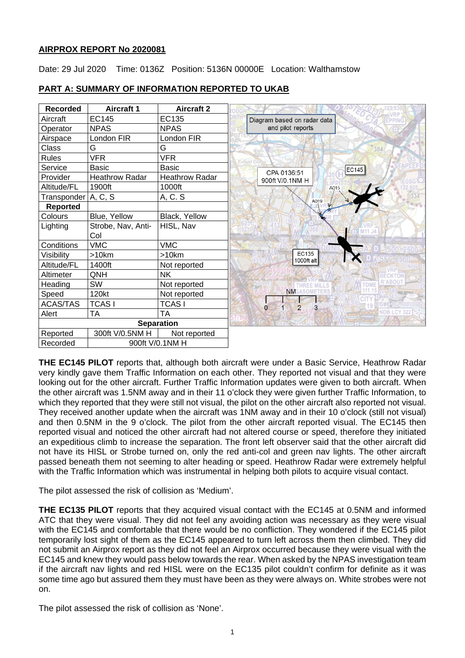## **AIRPROX REPORT No 2020081**

Date: 29 Jul 2020 Time: 0136Z Position: 5136N 00000E Location: Walthamstow

| <b>Recorded</b> | <b>Aircraft 1</b>         | <b>Aircraft 2</b>     |                                 |       |
|-----------------|---------------------------|-----------------------|---------------------------------|-------|
| Aircraft        | <b>EC145</b>              | EC135                 | Diagram based on radar data     |       |
| Operator        | <b>NPAS</b>               | <b>NPAS</b>           | and pilot reports               |       |
| Airspace        | London FIR                | London FIR            |                                 |       |
| Class           | G                         | G                     |                                 |       |
| Rules           | <b>VFR</b>                | <b>VFR</b>            | Enfield Ch                      |       |
| Service         | Basic                     | <b>Basic</b>          |                                 | EC145 |
| Provider        | <b>Heathrow Radar</b>     | <b>Heathrow Radar</b> | CPA 0136:51<br>900ft V/0.1NM H  |       |
| Altitude/FL     | 1900ft                    | 1000ft                | A015                            |       |
| Transponder     | A, C, S                   | A, C. S               | A019                            |       |
| <b>Reported</b> |                           |                       |                                 |       |
| Colours         | Blue, Yellow              | Black, Yellow         |                                 |       |
| Lighting        | Strobe, Nav, Anti-<br>Col | HISL, Nav             |                                 |       |
| Conditions      | <b>VMC</b>                | <b>VMC</b>            |                                 |       |
| Visibility      | $>10$ km                  | $>10$ km              | EC135                           |       |
| Altitude/FL     | 1400ft                    | Not reported          | 1000ft alt                      |       |
| Altimeter       | QNH                       | <b>NK</b>             |                                 |       |
| Heading         | SW                        | Not reported          |                                 |       |
| Speed           | 120kt                     | Not reported          | <b>NMSA</b>                     |       |
| <b>ACAS/TAS</b> | <b>TCASI</b>              | <b>TCASI</b>          | $\overline{2}$<br>3<br>$\Omega$ |       |
| Alert           | <b>TA</b>                 | <b>TA</b>             |                                 |       |
|                 | <b>Separation</b>         |                       |                                 |       |
| Reported        | 300ft V/0.5NM H           | Not reported          |                                 |       |
| Recorded        | 900ft V/0.1NM H           |                       |                                 |       |

## **PART A: SUMMARY OF INFORMATION REPORTED TO UKAB**

**THE EC145 PILOT** reports that, although both aircraft were under a Basic Service, Heathrow Radar very kindly gave them Traffic Information on each other. They reported not visual and that they were looking out for the other aircraft. Further Traffic Information updates were given to both aircraft. When the other aircraft was 1.5NM away and in their 11 o'clock they were given further Traffic Information, to which they reported that they were still not visual, the pilot on the other aircraft also reported not visual. They received another update when the aircraft was 1NM away and in their 10 o'clock (still not visual) and then 0.5NM in the 9 o'clock. The pilot from the other aircraft reported visual. The EC145 then reported visual and noticed the other aircraft had not altered course or speed, therefore they initiated an expeditious climb to increase the separation. The front left observer said that the other aircraft did not have its HISL or Strobe turned on, only the red anti-col and green nav lights. The other aircraft passed beneath them not seeming to alter heading or speed. Heathrow Radar were extremely helpful with the Traffic Information which was instrumental in helping both pilots to acquire visual contact.

The pilot assessed the risk of collision as 'Medium'.

**THE EC135 PILOT** reports that they acquired visual contact with the EC145 at 0.5NM and informed ATC that they were visual. They did not feel any avoiding action was necessary as they were visual with the EC145 and comfortable that there would be no confliction. They wondered if the EC145 pilot temporarily lost sight of them as the EC145 appeared to turn left across them then climbed. They did not submit an Airprox report as they did not feel an Airprox occurred because they were visual with the EC145 and knew they would pass below towards the rear. When asked by the NPAS investigation team if the aircraft nav lights and red HISL were on the EC135 pilot couldn't confirm for definite as it was some time ago but assured them they must have been as they were always on. White strobes were not on.

The pilot assessed the risk of collision as 'None'.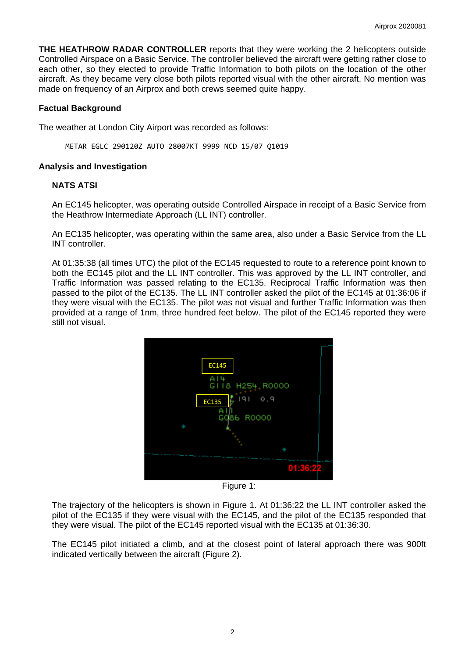**THE HEATHROW RADAR CONTROLLER** reports that they were working the 2 helicopters outside Controlled Airspace on a Basic Service. The controller believed the aircraft were getting rather close to each other, so they elected to provide Traffic Information to both pilots on the location of the other aircraft. As they became very close both pilots reported visual with the other aircraft. No mention was made on frequency of an Airprox and both crews seemed quite happy.

## **Factual Background**

The weather at London City Airport was recorded as follows:

METAR EGLC 290120Z AUTO 28007KT 9999 NCD 15/07 Q1019

## **Analysis and Investigation**

## **NATS ATSI**

An EC145 helicopter, was operating outside Controlled Airspace in receipt of a Basic Service from the Heathrow Intermediate Approach (LL INT) controller.

An EC135 helicopter, was operating within the same area, also under a Basic Service from the LL INT controller.

At 01:35:38 (all times UTC) the pilot of the EC145 requested to route to a reference point known to both the EC145 pilot and the LL INT controller. This was approved by the LL INT controller, and Traffic Information was passed relating to the EC135. Reciprocal Traffic Information was then passed to the pilot of the EC135. The LL INT controller asked the pilot of the EC145 at 01:36:06 if they were visual with the EC135. The pilot was not visual and further Traffic Information was then provided at a range of 1nm, three hundred feet below. The pilot of the EC145 reported they were still not visual.



Figure 1:

The trajectory of the helicopters is shown in Figure 1. At 01:36:22 the LL INT controller asked the pilot of the EC135 if they were visual with the EC145, and the pilot of the EC135 responded that they were visual. The pilot of the EC145 reported visual with the EC135 at 01:36:30.

The EC145 pilot initiated a climb, and at the closest point of lateral approach there was 900ft indicated vertically between the aircraft (Figure 2).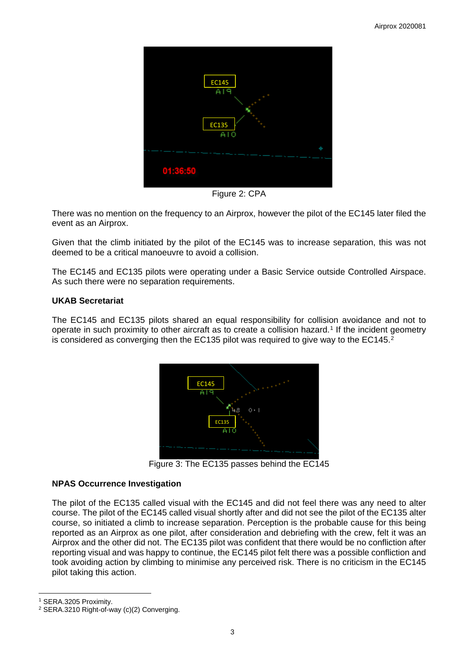

Figure 2: CPA

There was no mention on the frequency to an Airprox, however the pilot of the EC145 later filed the event as an Airprox.

Given that the climb initiated by the pilot of the EC145 was to increase separation, this was not deemed to be a critical manoeuvre to avoid a collision.

The EC145 and EC135 pilots were operating under a Basic Service outside Controlled Airspace. As such there were no separation requirements.

## **UKAB Secretariat**

The EC145 and EC135 pilots shared an equal responsibility for collision avoidance and not to operate in such proximity to other aircraft as to create a collision hazard.<sup>[1](#page-2-0)</sup> If the incident geometry is considered as converging then the EC135 pilot was required to give way to the EC145.<sup>[2](#page-2-1)</sup>



Figure 3: The EC135 passes behind the EC145

## **NPAS Occurrence Investigation**

The pilot of the EC135 called visual with the EC145 and did not feel there was any need to alter course. The pilot of the EC145 called visual shortly after and did not see the pilot of the EC135 alter course, so initiated a climb to increase separation. Perception is the probable cause for this being reported as an Airprox as one pilot, after consideration and debriefing with the crew, felt it was an Airprox and the other did not. The EC135 pilot was confident that there would be no confliction after reporting visual and was happy to continue, the EC145 pilot felt there was a possible confliction and took avoiding action by climbing to minimise any perceived risk. There is no criticism in the EC145 pilot taking this action.

<span id="page-2-0"></span><sup>1</sup> SERA.3205 Proximity.

<span id="page-2-1"></span><sup>&</sup>lt;sup>2</sup> SERA.3210 Right-of-way (c)(2) Converging.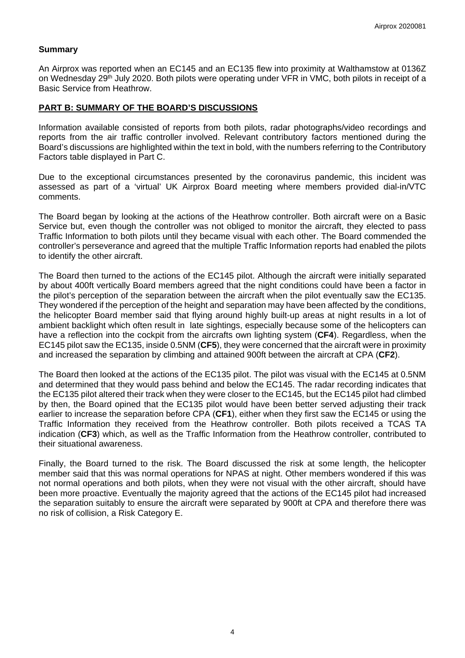#### **Summary**

An Airprox was reported when an EC145 and an EC135 flew into proximity at Walthamstow at 0136Z on Wednesday 29th July 2020. Both pilots were operating under VFR in VMC, both pilots in receipt of a Basic Service from Heathrow.

#### **PART B: SUMMARY OF THE BOARD'S DISCUSSIONS**

Information available consisted of reports from both pilots, radar photographs/video recordings and reports from the air traffic controller involved. Relevant contributory factors mentioned during the Board's discussions are highlighted within the text in bold, with the numbers referring to the Contributory Factors table displayed in Part C.

Due to the exceptional circumstances presented by the coronavirus pandemic, this incident was assessed as part of a 'virtual' UK Airprox Board meeting where members provided dial-in/VTC comments.

The Board began by looking at the actions of the Heathrow controller. Both aircraft were on a Basic Service but, even though the controller was not obliged to monitor the aircraft, they elected to pass Traffic Information to both pilots until they became visual with each other. The Board commended the controller's perseverance and agreed that the multiple Traffic Information reports had enabled the pilots to identify the other aircraft.

The Board then turned to the actions of the EC145 pilot. Although the aircraft were initially separated by about 400ft vertically Board members agreed that the night conditions could have been a factor in the pilot's perception of the separation between the aircraft when the pilot eventually saw the EC135. They wondered if the perception of the height and separation may have been affected by the conditions, the helicopter Board member said that flying around highly built-up areas at night results in a lot of ambient backlight which often result in late sightings, especially because some of the helicopters can have a reflection into the cockpit from the aircrafts own lighting system (**CF4**). Regardless, when the EC145 pilot saw the EC135, inside 0.5NM (**CF5**), they were concerned that the aircraft were in proximity and increased the separation by climbing and attained 900ft between the aircraft at CPA (**CF2**).

The Board then looked at the actions of the EC135 pilot. The pilot was visual with the EC145 at 0.5NM and determined that they would pass behind and below the EC145. The radar recording indicates that the EC135 pilot altered their track when they were closer to the EC145, but the EC145 pilot had climbed by then, the Board opined that the EC135 pilot would have been better served adjusting their track earlier to increase the separation before CPA (**CF1**), either when they first saw the EC145 or using the Traffic Information they received from the Heathrow controller. Both pilots received a TCAS TA indication (**CF3**) which, as well as the Traffic Information from the Heathrow controller, contributed to their situational awareness.

Finally, the Board turned to the risk. The Board discussed the risk at some length, the helicopter member said that this was normal operations for NPAS at night. Other members wondered if this was not normal operations and both pilots, when they were not visual with the other aircraft, should have been more proactive. Eventually the majority agreed that the actions of the EC145 pilot had increased the separation suitably to ensure the aircraft were separated by 900ft at CPA and therefore there was no risk of collision, a Risk Category E.